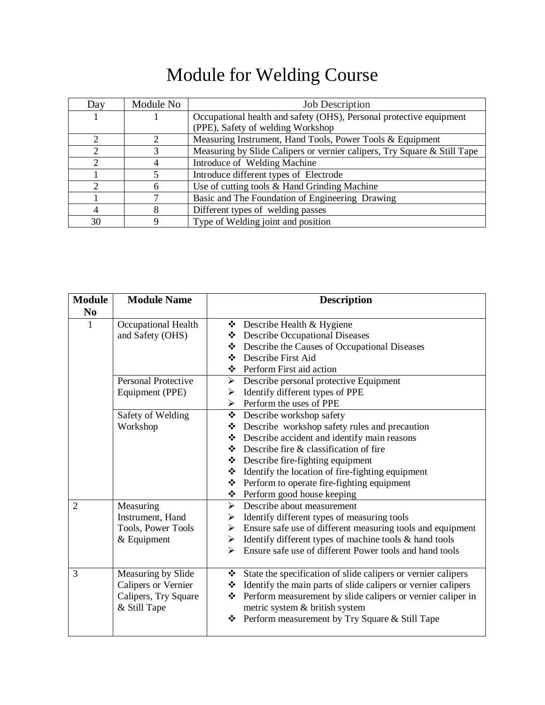## Module for Welding Course

| Day           | Module No | <b>Job Description</b>                                                   |  |  |
|---------------|-----------|--------------------------------------------------------------------------|--|--|
|               |           | Occupational health and safety (OHS), Personal protective equipment      |  |  |
|               |           | (PPE), Safety of welding Workshop                                        |  |  |
|               |           | Measuring Instrument, Hand Tools, Power Tools & Equipment                |  |  |
|               |           | Measuring by Slide Calipers or vernier calipers, Try Square & Still Tape |  |  |
| $\mathcal{D}$ |           | Introduce of Welding Machine                                             |  |  |
|               |           | Introduce different types of Electrode                                   |  |  |
| ∍             | 6         | Use of cutting tools & Hand Grinding Machine                             |  |  |
|               |           | Basic and The Foundation of Engineering Drawing                          |  |  |
| 4             |           | Different types of welding passes                                        |  |  |
| 30            |           | Type of Welding joint and position                                       |  |  |

| <b>Module</b>  | <b>Module Name</b>                                                                       | <b>Description</b>                                                                                                                                                                                                                                                                                                                                                       |
|----------------|------------------------------------------------------------------------------------------|--------------------------------------------------------------------------------------------------------------------------------------------------------------------------------------------------------------------------------------------------------------------------------------------------------------------------------------------------------------------------|
| N <sub>0</sub> |                                                                                          |                                                                                                                                                                                                                                                                                                                                                                          |
| $\mathbf{1}$   | Occupational Health<br>and Safety (OHS)<br><b>Personal Protective</b><br>Equipment (PPE) | ❖ Describe Health & Hygiene<br>Describe Occupational Diseases<br>Describe the Causes of Occupational Diseases<br>Describe First Aid<br>❖ Perform First aid action<br>$\triangleright$ Describe personal protective Equipment<br>Identify different types of PPE<br>➤<br>$\triangleright$ Perform the uses of PPE                                                         |
|                | Safety of Welding<br>Workshop                                                            | ❖ Describe workshop safety<br>❖ Describe workshop safety rules and precaution<br>❖ Describe accident and identify main reasons<br>$\bullet$ Describe fire & classification of fire<br>$\triangle$ Describe fire-fighting equipment<br>* Identify the location of fire-fighting equipment<br>❖ Perform to operate fire-fighting equipment<br>❖ Perform good house keeping |
| $\overline{2}$ | Measuring<br>Instrument, Hand<br>Tools, Power Tools<br>$&$ Equipment                     | $\triangleright$ Describe about measurement<br>$\triangleright$ Identify different types of measuring tools<br>$\triangleright$ Ensure safe use of different measuring tools and equipment<br>Identify different types of machine tools & hand tools<br>➤<br>Ensure safe use of different Power tools and hand tools<br>↘                                                |
| 3              | Measuring by Slide<br><b>Calipers or Vernier</b><br>Calipers, Try Square<br>& Still Tape | State the specification of slide calipers or vernier calipers<br>❖<br>Identify the main parts of slide calipers or vernier calipers<br>❖<br>Perform measurement by slide calipers or vernier caliper in<br>❖<br>metric system & british system<br>Perform measurement by Try Square & Still Tape<br>❖                                                                    |